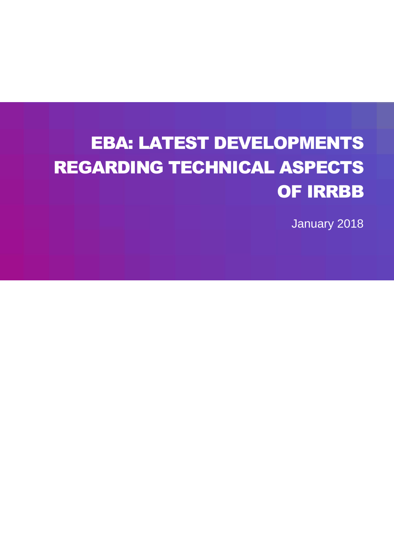# EBA: LATEST DEVELOPMENTS REGARDING TECHNICAL ASPECTS OF IRRBB

January 2018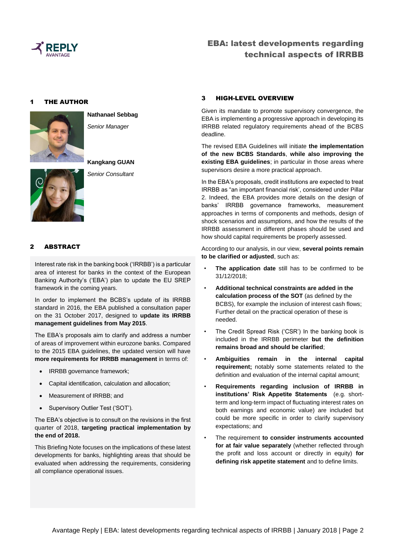

#### 1 THE AUTHOR



**Nathanael Sebbag** *Senior Manager*



**Kangkang GUAN** *Senior Consultant*

#### 2 ABSTRACT

Interest rate risk in the banking book ('IRRBB') is a particular area of interest for banks in the context of the European Banking Authority's ('EBA') plan to update the EU SREP framework in the coming years.

In order to implement the BCBS's update of its IRRBB standard in 2016, the EBA published a consultation paper on the 31 October 2017, designed to **update its IRRBB management guidelines from May 2015**.

The EBA's proposals aim to clarify and address a number of areas of improvement within eurozone banks. Compared to the 2015 EBA guidelines, the updated version will have **more requirements for IRRBB management** in terms of:

- IRRBB governance framework;
- Capital identification, calculation and allocation;
- Measurement of IRRBB; and
- Supervisory Outlier Test ('SOT').

The EBA's objective is to consult on the revisions in the first quarter of 2018, **targeting practical implementation by the end of 2018.**

This Briefing Note focuses on the implications of these latest developments for banks, highlighting areas that should be evaluated when addressing the requirements, considering all compliance operational issues.

#### 3 HIGH-LEVEL OVERVIEW

Given its mandate to promote supervisory convergence, the EBA is implementing a progressive approach in developing its IRRBB related regulatory requirements ahead of the BCBS deadline.

The revised EBA Guidelines will initiate **the implementation of the new BCBS Standards**, **while also improving the existing EBA guidelines**; in particular in those areas where supervisors desire a more practical approach.

In the EBA's proposals, credit institutions are expected to treat IRRBB as "an important financial risk', considered under Pillar 2. Indeed, the EBA provides more details on the design of banks' IRRBB governance frameworks, measurement approaches in terms of components and methods, design of shock scenarios and assumptions, and how the results of the IRRBB assessment in different phases should be used and how should capital requirements be properly assessed.

According to our analysis, in our view, **several points remain to be clarified or adjusted**, such as:

- The application date still has to be confirmed to be 31/12/2018;
- **Additional technical constraints are added in the calculation process of the SOT** (as defined by the BCBS), for example the inclusion of interest cash flows; Further detail on the practical operation of these is needed.
- The Credit Spread Risk ('CSR') In the banking book is included in the IRRBB perimeter **but the definition remains broad and should be clarified**;
- **Ambiguities remain in the internal capital requirement;** notably some statements related to the definition and evaluation of the internal capital amount;
- **Requirements regarding inclusion of IRRBB in institutions' Risk Appetite Statements** (e.g. shortterm and long-term impact of fluctuating interest rates on both earnings and economic value) are included but could be more specific in order to clarify supervisory expectations; and
- The requirement **to consider instruments accounted for at fair value separately** (whether reflected through the profit and loss account or directly in equity) **for defining risk appetite statement** and to define limits.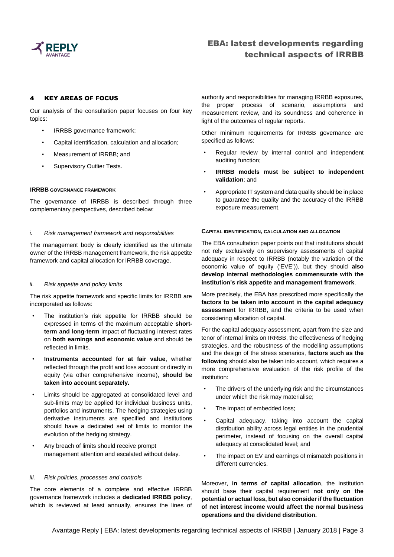

#### 4 KEY AREAS OF FOCUS

Our analysis of the consultation paper focuses on four key topics:

- IRRBB governance framework;
- Capital identification, calculation and allocation;
- Measurement of IRRBB; and
- Supervisory Outlier Tests.

#### **IRRBB GOVERNANCE FRAMEWORK**

The governance of IRRBB is described through three complementary perspectives, described below:

#### *i. Risk management framework and responsibilities*

The management body is clearly identified as the ultimate owner of the IRRBB management framework, the risk appetite framework and capital allocation for IRRBB coverage.

#### *ii. Risk appetite and policy limits*

The risk appetite framework and specific limits for IRRBB are incorporated as follows:

- The institution's risk appetite for IRRBB should be expressed in terms of the maximum acceptable **shortterm and long-term** impact of fluctuating interest rates on **both earnings and economic value** and should be reflected in limits.
- **Instruments accounted for at fair value**, whether reflected through the profit and loss account or directly in equity (via other comprehensive income), **should be taken into account separately.**
- Limits should be aggregated at consolidated level and sub-limits may be applied for individual business units, portfolios and instruments. The hedging strategies using derivative instruments are specified and institutions should have a dedicated set of limits to monitor the evolution of the hedging strategy.
- Any breach of limits should receive prompt management attention and escalated without delay.

#### *iii. Risk policies, processes and controls*

The core elements of a complete and effective IRRBB governance framework includes a **dedicated IRRBB policy**, which is reviewed at least annually, ensures the lines of authority and responsibilities for managing IRRBB exposures, the proper process of scenario, assumptions and measurement review, and its soundness and coherence in light of the outcomes of regular reports.

Other minimum requirements for IRRBB governance are specified as follows:

- Regular review by internal control and independent auditing function;
- **IRRBB** models must be subject to independent **validation**; and
- Appropriate IT system and data quality should be in place to guarantee the quality and the accuracy of the IRRBB exposure measurement.

#### **CAPITAL IDENTIFICATION, CALCULATION AND ALLOCATION**

The EBA consultation paper points out that institutions should not rely exclusively on supervisory assessments of capital adequacy in respect to IRRBB (notably the variation of the economic value of equity ('EVE')), but they should **also develop internal methodologies commensurate with the institution's risk appetite and management framework**.

More precisely, the EBA has prescribed more specifically the **factors to be taken into account in the capital adequacy assessment** for IRRBB, and the criteria to be used when considering allocation of capital.

For the capital adequacy assessment, apart from the size and tenor of internal limits on IRRBB, the effectiveness of hedging strategies, and the robustness of the modelling assumptions and the design of the stress scenarios, **factors such as the following** should also be taken into account, which requires a more comprehensive evaluation of the risk profile of the institution:

- The drivers of the underlying risk and the circumstances under which the risk may materialise;
- The impact of embedded loss;
- Capital adequacy, taking into account the capital distribution ability across legal entities in the prudential perimeter, instead of focusing on the overall capital adequacy at consolidated level; and
- The impact on EV and earnings of mismatch positions in different currencies.

Moreover, **in terms of capital allocation**, the institution should base their capital requirement **not only on the potential or actual loss, but also consider if the fluctuation of net interest income would affect the normal business operations and the dividend distribution.**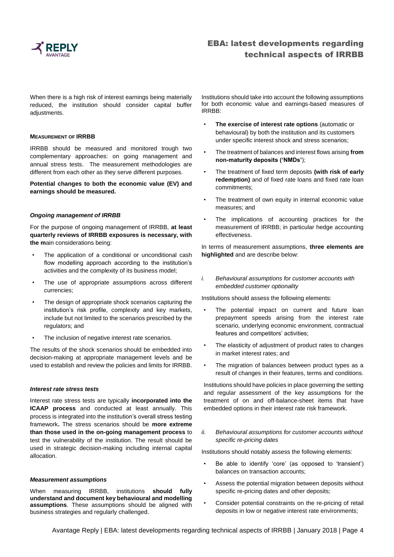

When there is a high risk of interest earnings being materially reduced, the institution should consider capital buffer adjustments.

#### **MEASUREMENT OF IRRBB**

IRRBB should be measured and monitored trough two complementary approaches: on going management and annual stress tests. The measurement methodologies are different from each other as they serve different purposes.

**Potential changes to both the economic value (EV) and earnings should be measured.**

#### *Ongoing management of IRRBB*

For the purpose of ongoing management of IRRBB, **at least quarterly reviews of IRRBB exposures is necessary, with the m**ain considerations being:

- The application of a conditional or unconditional cash flow modelling approach according to the institution's activities and the complexity of its business model;
- The use of appropriate assumptions across different currencies;
- The design of appropriate shock scenarios capturing the institution's risk profile, complexity and key markets, include but not limited to the scenarios prescribed by the regulators; and
- The inclusion of negative interest rate scenarios.

The results of the shock scenarios should be embedded into decision-making at appropriate management levels and be used to establish and review the policies and limits for IRRBB.

#### *Interest rate stress tests*

Interest rate stress tests are typically **incorporated into the ICAAP process** and conducted at least annually. This process is integrated into the institution's overall stress testing framework**.** The stress scenarios should be **more extreme than those used in the on-going management process** to test the vulnerability of the institution. The result should be used in strategic decision-making including internal capital allocation.

#### *Measurement assumptions*

When measuring IRRBB, institutions **should fully understand and document key behavioural and modelling assumptions**. These assumptions should be aligned with business strategies and regularly challenged.

Institutions should take into account the following assumptions for both economic value and earnings-based measures of IRRBB:

- **The exercise of interest rate options** (automatic or behavioural) by both the institution and its customers under specific interest shock and stress scenarios;
- The treatment of balances and interest flows arising **from non-maturity deposits ('NMDs'**);
- The treatment of fixed term deposits **(with risk of early redemption)** and of fixed rate loans and fixed rate loan commitments;
- The treatment of own equity in internal economic value measures; and
- The implications of accounting practices for the measurement of IRRBB; in particular hedge accounting effectiveness.

In terms of measurement assumptions, **three elements are highlighted** and are describe below:

*i. Behavioural assumptions for customer accounts with embedded customer optionality*

Institutions should assess the following elements:

- The potential impact on current and future loan prepayment speeds arising from the interest rate scenario, underlying economic environment, contractual features and competitors' activities;
- The elasticity of adjustment of product rates to changes in market interest rates; and
- The migration of balances between product types as a result of changes in their features, terms and conditions.

Institutions should have policies in place governing the setting and regular assessment of the key assumptions for the treatment of on and off-balance-sheet items that have embedded options in their interest rate risk framework.

*ii. Behavioural assumptions for customer accounts without specific re-pricing dates*

Institutions should notably assess the following elements:

- Be able to identify 'core' (as opposed to 'transient') balances on transaction accounts;
- Assess the potential migration between deposits without specific re-pricing dates and other deposits;
- Consider potential constraints on the re-pricing of retail deposits in low or negative interest rate environments;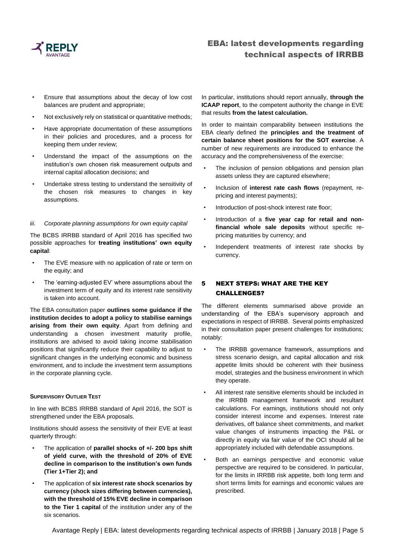

- Ensure that assumptions about the decay of low cost balances are prudent and appropriate;
- Not exclusively rely on statistical or quantitative methods;
- Have appropriate documentation of these assumptions in their policies and procedures, and a process for keeping them under review;
- Understand the impact of the assumptions on the institution's own chosen risk measurement outputs and internal capital allocation decisions; and
- Undertake stress testing to understand the sensitivity of the chosen risk measures to changes in key assumptions.

#### *iii. Corporate planning assumptions for own equity capital*

The BCBS IRRBB standard of April 2016 has specified two possible approaches for **treating institutions' own equity capital**:

- The EVE measure with no application of rate or term on the equity; and
- The 'earning-adjusted EV' where assumptions about the investment term of equity and its interest rate sensitivity is taken into account.

The EBA consultation paper **outlines some guidance if the institution decides to adopt a policy to stabilise earnings arising from their own equity**. Apart from defining and understanding a chosen investment maturity profile, institutions are advised to avoid taking income stabilisation positions that significantly reduce their capability to adjust to significant changes in the underlying economic and business environment, and to include the investment term assumptions in the corporate planning cycle.

#### **SUPERVISORY OUTLIER TEST**

In line with BCBS IRRBB standard of April 2016, the SOT is strengthened under the EBA proposals.

Institutions should assess the sensitivity of their EVE at least quarterly through:

- The application of **parallel shocks of +/- 200 bps shift of yield curve, with the threshold of 20% of EVE decline in comparison to the institution's own funds (Tier 1+Tier 2); and**
- The application of **six interest rate shock scenarios by currency (shock sizes differing between currencies), with the threshold of 15% EVE decline in comparison to the Tier 1 capital** of the institution under any of the six scenarios.

In particular, institutions should report annually, **through the ICAAP report**, to the competent authority the change in EVE that results **from the latest calculation.**

In order to maintain comparability between institutions the EBA clearly defined the **principles and the treatment of certain balance sheet positions for the SOT exercise**. A number of new requirements are introduced to enhance the accuracy and the comprehensiveness of the exercise:

- The inclusion of pension obligations and pension plan assets unless they are captured elsewhere;
- Inclusion of **interest rate cash flows** (repayment, repricing and interest payments);
- Introduction of post-shock interest rate floor;
- Introduction of a **five year cap for retail and nonfinancial whole sale deposits** without specific repricing maturities by currency; and
- Independent treatments of interest rate shocks by currency.

### 5 NEXT STEPS: WHAT ARE THE KEY CHALLENGES?

The different elements summarised above provide an understanding of the EBA's supervisory approach and expectations in respect of IRRBB. Several points emphasized in their consultation paper present challenges for institutions; notably:

- The IRRBB governance framework, assumptions and stress scenario design, and capital allocation and risk appetite limits should be coherent with their business model, strategies and the business environment in which they operate.
- All interest rate sensitive elements should be included in the IRRBB management framework and resultant calculations. For earnings, institutions should not only consider interest income and expenses. Interest rate derivatives, off balance sheet commitments, and market value changes of instruments impacting the P&L or directly in equity via fair value of the OCI should all be appropriately included with defendable assumptions.
- Both an earnings perspective and economic value perspective are required to be considered. In particular, for the limits in IRRBB risk appetite, both long term and short terms limits for earnings and economic values are prescribed.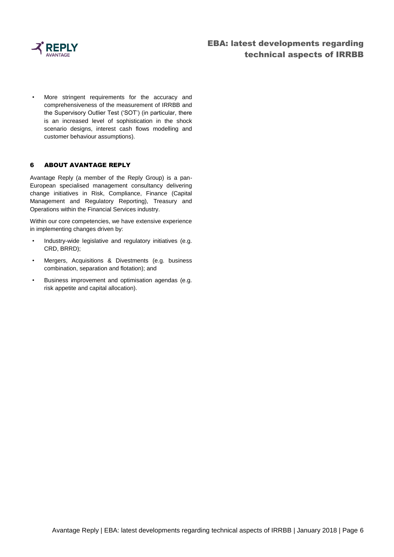

More stringent requirements for the accuracy and comprehensiveness of the measurement of IRRBB and the Supervisory Outlier Test ('SOT') (in particular, there is an increased level of sophistication in the shock scenario designs, interest cash flows modelling and customer behaviour assumptions).

#### 6 ABOUT AVANTAGE REPLY

Avantage Reply (a member of the Reply Group) is a pan-European specialised management consultancy delivering change initiatives in Risk, Compliance, Finance (Capital Management and Regulatory Reporting), Treasury and Operations within the Financial Services industry.

Within our core competencies, we have extensive experience in implementing changes driven by:

- Industry-wide legislative and regulatory initiatives (e.g. CRD, BRRD);
- Mergers, Acquisitions & Divestments (e.g. business combination, separation and flotation); and
- Business improvement and optimisation agendas (e.g. risk appetite and capital allocation).